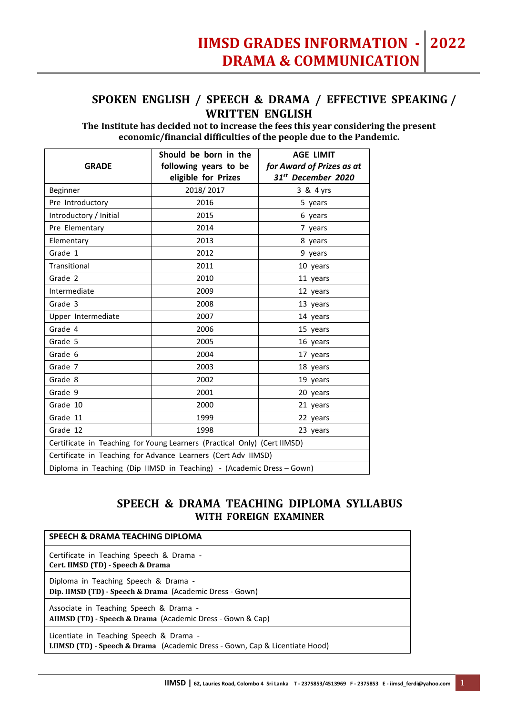## **SPOKEN ENGLISH / SPEECH & DRAMA / EFFECTIVE SPEAKING / WRITTEN ENGLISH**

**The Institute has decided not to increase the fees this year considering the present economic/financial difficulties of the people due to the Pandemic.**

|                                                                          | Should be born in the | <b>AGE LIMIT</b>               |  |
|--------------------------------------------------------------------------|-----------------------|--------------------------------|--|
| <b>GRADE</b>                                                             | following years to be | for Award of Prizes as at      |  |
|                                                                          | eligible for Prizes   | 31 <sup>st</sup> December 2020 |  |
| <b>Beginner</b>                                                          | 2018/2017             | 3 & 4 yrs                      |  |
| Pre Introductory                                                         | 2016                  | 5 years                        |  |
| Introductory / Initial                                                   | 2015                  | 6 years                        |  |
| Pre Elementary                                                           | 2014                  | 7 years                        |  |
| Elementary                                                               | 2013                  | 8 years                        |  |
| Grade 1                                                                  | 2012                  | 9 years                        |  |
| Transitional                                                             | 2011                  | 10 years                       |  |
| Grade 2                                                                  | 2010                  | 11 years                       |  |
| Intermediate                                                             | 2009                  | 12 years                       |  |
| Grade 3                                                                  | 2008                  | 13 years                       |  |
| Upper Intermediate                                                       | 2007                  | 14 years                       |  |
| Grade 4                                                                  | 2006                  | 15 years                       |  |
| Grade 5                                                                  | 2005                  | 16 years                       |  |
| Grade 6                                                                  | 2004                  | 17 years                       |  |
| Grade 7                                                                  | 2003                  | 18 years                       |  |
| Grade 8                                                                  | 2002                  | 19 years                       |  |
| Grade 9                                                                  | 2001                  | 20 years                       |  |
| Grade 10                                                                 | 2000                  | 21 years                       |  |
| Grade 11                                                                 | 1999                  | 22 years                       |  |
| Grade 12                                                                 | 1998                  | 23 years                       |  |
| Certificate in Teaching for Young Learners (Practical Only) (Cert IIMSD) |                       |                                |  |
| Certificate in Teaching for Advance Learners (Cert Adv IIMSD)            |                       |                                |  |
| Diploma in Teaching (Dip IIMSD in Teaching) - (Academic Dress - Gown)    |                       |                                |  |

## **SPEECH & DRAMA TEACHING DIPLOMA SYLLABUS WITH FOREIGN EXAMINER**

| SPEECH & DRAMA TEACHING DIPLOMA                                                                                        |
|------------------------------------------------------------------------------------------------------------------------|
| Certificate in Teaching Speech & Drama -<br>Cert. IIMSD (TD) - Speech & Drama                                          |
| Diploma in Teaching Speech & Drama -<br>Dip. IIMSD (TD) - Speech & Drama (Academic Dress - Gown)                       |
| Associate in Teaching Speech & Drama -<br>AIIMSD (TD) - Speech & Drama (Academic Dress - Gown & Cap)                   |
| Licentiate in Teaching Speech & Drama -<br>LIIMSD (TD) - Speech & Drama (Academic Dress - Gown, Cap & Licentiate Hood) |